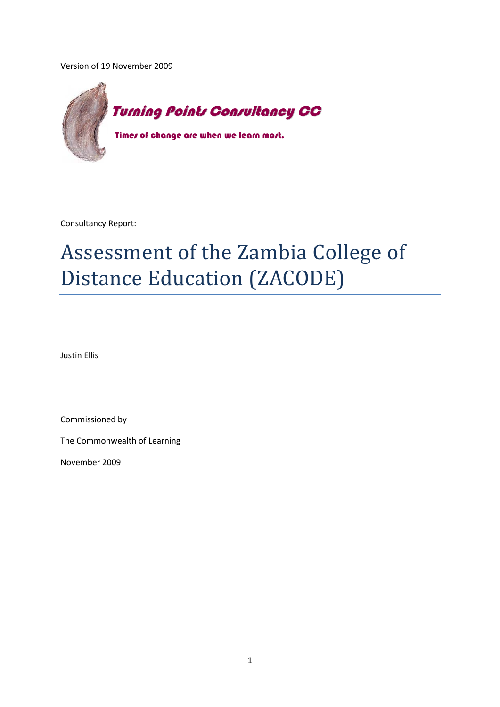Version of 19 November 2009



Consultancy Report:

# Assessment of the Zambia College of Distance Education (ZACODE)

Justin Ellis

Commissioned by

The Commonwealth of Learning

November 2009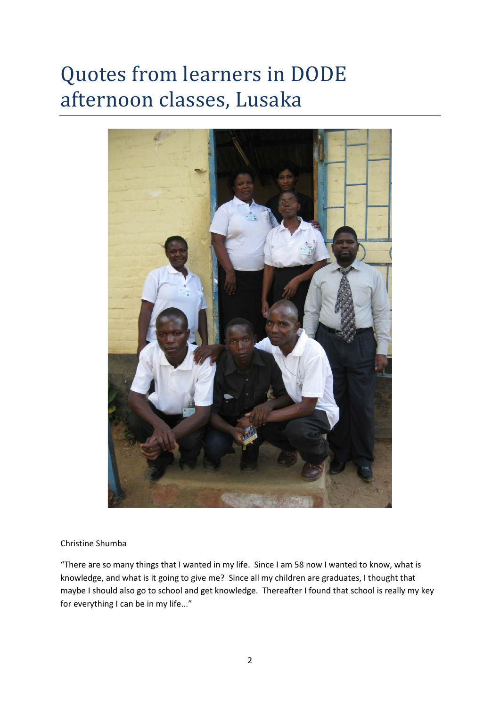# Quotes from learners in DODE afternoon classes, Lusaka



#### Christine Shumba

"There are so many things that I wanted in my life. Since I am 58 now I wanted to know, what is knowledge, and what is it going to give me? Since all my children are graduates, I thought that maybe I should also go to school and get knowledge. Thereafter I found that school is really my key for everything I can be in my life..."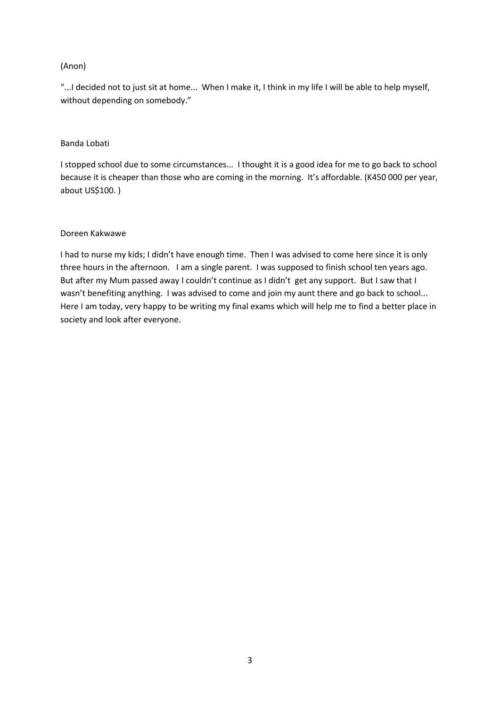#### (Anon)

"...I decided not to just sit at home... When I make it, I think in my life I will be able to help myself, without depending on somebody."

#### Banda Lobati

I stopped school due to some circumstances... I thought it is a good idea for me to go back to school because it is cheaper than those who are coming in the morning. It's affordable. (K450 000 per year, about US\$100. )

#### Doreen Kakwawe

I had to nurse my kids; I didn't have enough time. Then I was advised to come here since it is only three hours in the afternoon. I am a single parent. I was supposed to finish school ten years ago. But after my Mum passed away I couldn't continue as I didn't get any support. But I saw that I wasn't benefiting anything. I was advised to come and join my aunt there and go back to school... Here I am today, very happy to be writing my final exams which will help me to find a better place in society and look after everyone.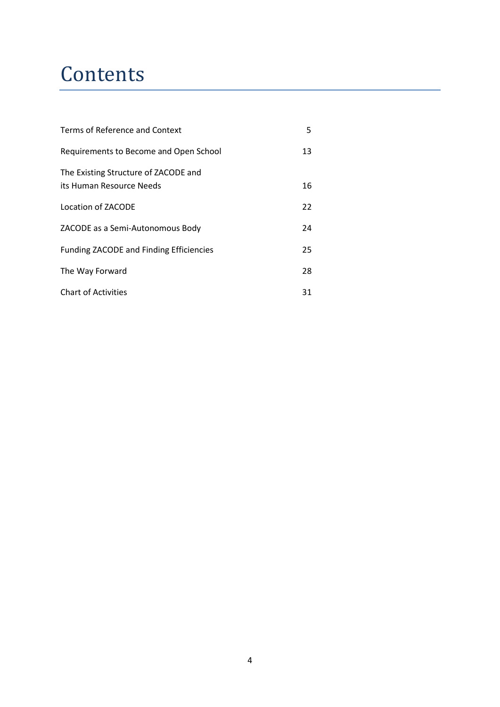### **Contents**

| Terms of Reference and Context                                   |    |  |  |  |  |  |  |
|------------------------------------------------------------------|----|--|--|--|--|--|--|
| Requirements to Become and Open School                           | 13 |  |  |  |  |  |  |
| The Existing Structure of ZACODE and<br>its Human Resource Needs | 16 |  |  |  |  |  |  |
| Location of ZACODE                                               | 22 |  |  |  |  |  |  |
| ZACODE as a Semi-Autonomous Body                                 | 24 |  |  |  |  |  |  |
| <b>Funding ZACODE and Finding Efficiencies</b>                   | 25 |  |  |  |  |  |  |
| The Way Forward                                                  | 28 |  |  |  |  |  |  |
| <b>Chart of Activities</b>                                       | 31 |  |  |  |  |  |  |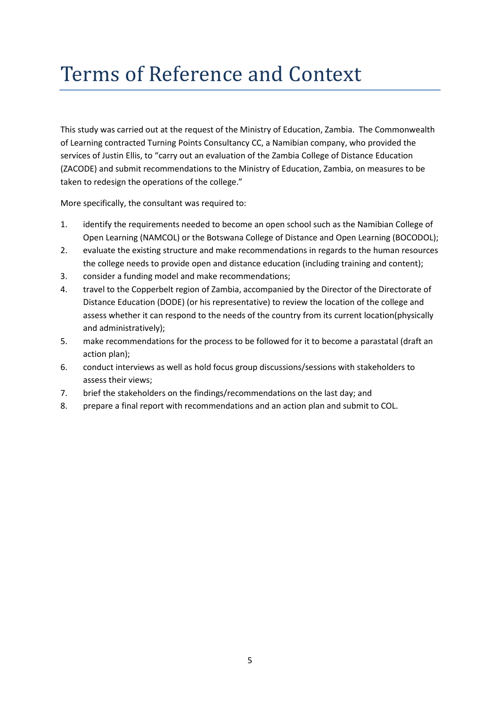## Terms of Reference and Context

This study was carried out at the request of the Ministry of Education, Zambia. The Commonwealth of Learning contracted Turning Points Consultancy CC, a Namibian company, who provided the services of Justin Ellis, to "carry out an evaluation of the Zambia College of Distance Education (ZACODE) and submit recommendations to the Ministry of Education, Zambia, on measures to be taken to redesign the operations of the college."

More specifically, the consultant was required to:

- 1. identify the requirements needed to become an open school such as the Namibian College of Open Learning (NAMCOL) or the Botswana College of Distance and Open Learning (BOCODOL);
- 2. evaluate the existing structure and make recommendations in regards to the human resources the college needs to provide open and distance education (including training and content);
- 3. consider a funding model and make recommendations;
- 4. travel to the Copperbelt region of Zambia, accompanied by the Director of the Directorate of Distance Education (DODE) (or his representative) to review the location of the college and assess whether it can respond to the needs of the country from its current location(physically and administratively);
- 5. make recommendations for the process to be followed for it to become a parastatal (draft an action plan);
- 6. conduct interviews as well as hold focus group discussions/sessions with stakeholders to assess their views;
- 7. brief the stakeholders on the findings/recommendations on the last day; and
- 8. prepare a final report with recommendations and an action plan and submit to COL.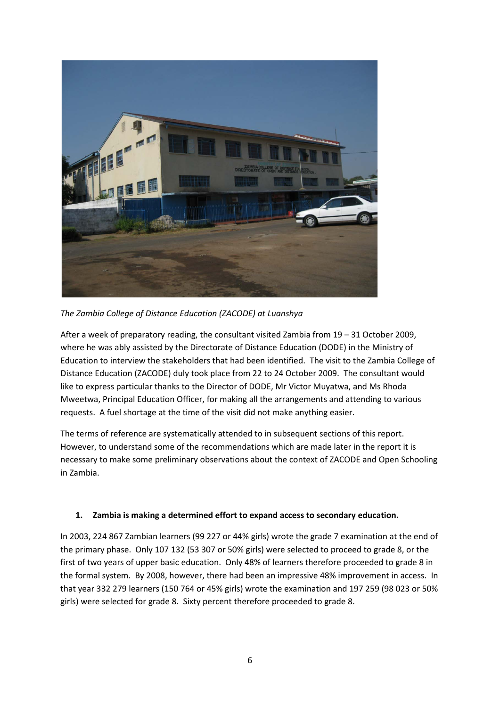

*The Zambia College of Distance Education (ZACODE) at Luanshya*

After a week of preparatory reading, the consultant visited Zambia from 19 – 31 October 2009, where he was ably assisted by the Directorate of Distance Education (DODE) in the Ministry of Education to interview the stakeholders that had been identified. The visit to the Zambia College of Distance Education (ZACODE) duly took place from 22 to 24 October 2009. The consultant would like to express particular thanks to the Director of DODE, Mr Victor Muyatwa, and Ms Rhoda Mweetwa, Principal Education Officer, for making all the arrangements and attending to various requests. A fuel shortage at the time of the visit did not make anything easier.

The terms of reference are systematically attended to in subsequent sections of this report. However, to understand some of the recommendations which are made later in the report it is necessary to make some preliminary observations about the context of ZACODE and Open Schooling in Zambia.

#### **1. Zambia is making a determined effort to expand access to secondary education.**

In 2003, 224 867 Zambian learners (99 227 or 44% girls) wrote the grade 7 examination at the end of the primary phase. Only 107 132 (53 307 or 50% girls) were selected to proceed to grade 8, or the first of two years of upper basic education. Only 48% of learners therefore proceeded to grade 8 in the formal system. By 2008, however, there had been an impressive 48% improvement in access. In that year 332 279 learners (150 764 or 45% girls) wrote the examination and 197 259 (98 023 or 50% girls) were selected for grade 8. Sixty percent therefore proceeded to grade 8.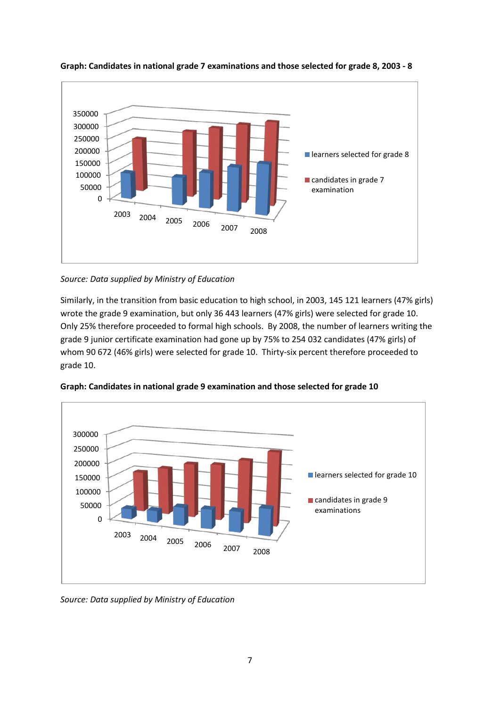

**Graph: Candidates in national grade 7 examinations and those selected for grade 8, 2003 - 8**

*Source: Data supplied by Ministry of Education*

Similarly, in the transition from basic education to high school, in 2003, 145 121 learners (47% girls) wrote the grade 9 examination, but only 36 443 learners (47% girls) were selected for grade 10. Only 25% therefore proceeded to formal high schools. By 2008, the number of learners writing the grade 9 junior certificate examination had gone up by 75% to 254 032 candidates (47% girls) of whom 90 672 (46% girls) were selected for grade 10. Thirty-six percent therefore proceeded to grade 10.



**Graph: Candidates in national grade 9 examination and those selected for grade 10**

*Source: Data supplied by Ministry of Education*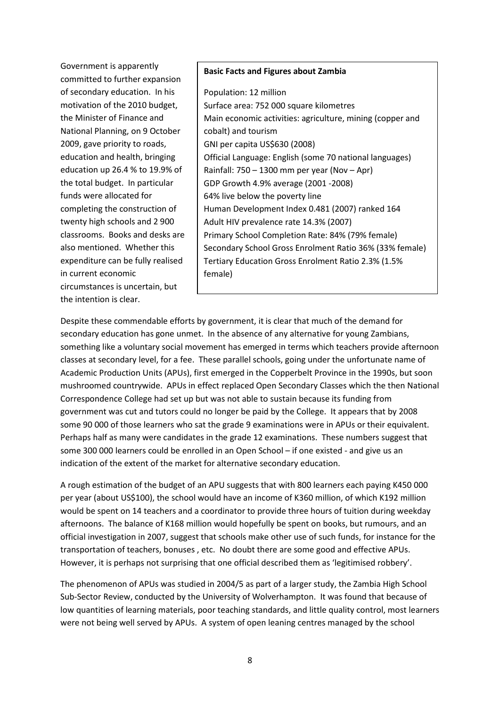Government is apparently committed to further expansion of secondary education. In his motivation of the 2010 budget, the Minister of Finance and National Planning, on 9 October 2009, gave priority to roads, education and health, bringing education up 26.4 % to 19.9% of the total budget. In particular funds were allocated for completing the construction of twenty high schools and 2 900 classrooms. Books and desks are also mentioned. Whether this expenditure can be fully realised in current economic circumstances is uncertain, but the intention is clear.

#### **Basic Facts and Figures about Zambia**

Population: 12 million Surface area: 752 000 square kilometres Main economic activities: agriculture, mining (copper and cobalt) and tourism GNI per capita US\$630 (2008) Official Language: English (some 70 national languages) Rainfall: 750 – 1300 mm per year (Nov – Apr) GDP Growth 4.9% average (2001 -2008) 64% live below the poverty line Human Development Index 0.481 (2007) ranked 164 Adult HIV prevalence rate 14.3% (2007) Primary School Completion Rate: 84% (79% female) Secondary School Gross Enrolment Ratio 36% (33% female) Tertiary Education Gross Enrolment Ratio 2.3% (1.5% female)

Despite these commendable efforts by government, it is clear that much of the demand for secondary education has gone unmet. In the absence of any alternative for young Zambians, something like a voluntary social movement has emerged in terms which teachers provide afternoon classes at secondary level, for a fee. These parallel schools, going under the unfortunate name of Academic Production Units (APUs), first emerged in the Copperbelt Province in the 1990s, but soon mushroomed countrywide. APUs in effect replaced Open Secondary Classes which the then National Correspondence College had set up but was not able to sustain because its funding from government was cut and tutors could no longer be paid by the College. It appears that by 2008 some 90 000 of those learners who sat the grade 9 examinations were in APUs or their equivalent. Perhaps half as many were candidates in the grade 12 examinations. These numbers suggest that some 300 000 learners could be enrolled in an Open School – if one existed - and give us an indication of the extent of the market for alternative secondary education.

İ

A rough estimation of the budget of an APU suggests that with 800 learners each paying K450 000 per year (about US\$100), the school would have an income of K360 million, of which K192 million would be spent on 14 teachers and a coordinator to provide three hours of tuition during weekday afternoons. The balance of K168 million would hopefully be spent on books, but rumours, and an official investigation in 2007, suggest that schools make other use of such funds, for instance for the transportation of teachers, bonuses , etc. No doubt there are some good and effective APUs. However, it is perhaps not surprising that one official described them as 'legitimised robbery'.

The phenomenon of APUs was studied in 2004/5 as part of a larger study, the Zambia High School Sub-Sector Review, conducted by the University of Wolverhampton. It was found that because of low quantities of learning materials, poor teaching standards, and little quality control, most learners were not being well served by APUs. A system of open leaning centres managed by the school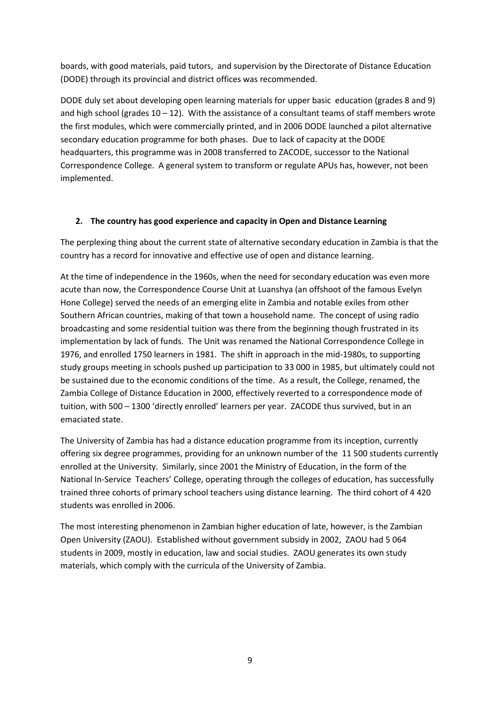boards, with good materials, paid tutors, and supervision by the Directorate of Distance Education (DODE) through its provincial and district offices was recommended.

DODE duly set about developing open learning materials for upper basic education (grades 8 and 9) and high school (grades  $10 - 12$ ). With the assistance of a consultant teams of staff members wrote the first modules, which were commercially printed, and in 2006 DODE launched a pilot alternative secondary education programme for both phases. Due to lack of capacity at the DODE headquarters, this programme was in 2008 transferred to ZACODE, successor to the National Correspondence College. A general system to transform or regulate APUs has, however, not been implemented.

#### **2. The country has good experience and capacity in Open and Distance Learning**

The perplexing thing about the current state of alternative secondary education in Zambia is that the country has a record for innovative and effective use of open and distance learning.

At the time of independence in the 1960s, when the need for secondary education was even more acute than now, the Correspondence Course Unit at Luanshya (an offshoot of the famous Evelyn Hone College) served the needs of an emerging elite in Zambia and notable exiles from other Southern African countries, making of that town a household name. The concept of using radio broadcasting and some residential tuition was there from the beginning though frustrated in its implementation by lack of funds. The Unit was renamed the National Correspondence College in 1976, and enrolled 1750 learners in 1981. The shift in approach in the mid-1980s, to supporting study groups meeting in schools pushed up participation to 33 000 in 1985, but ultimately could not be sustained due to the economic conditions of the time. As a result, the College, renamed, the Zambia College of Distance Education in 2000, effectively reverted to a correspondence mode of tuition, with 500 – 1300 'directly enrolled' learners per year. ZACODE thus survived, but in an emaciated state.

The University of Zambia has had a distance education programme from its inception, currently offering six degree programmes, providing for an unknown number of the 11 500 students currently enrolled at the University. Similarly, since 2001 the Ministry of Education, in the form of the National In-Service Teachers' College, operating through the colleges of education, has successfully trained three cohorts of primary school teachers using distance learning. The third cohort of 4 420 students was enrolled in 2006.

The most interesting phenomenon in Zambian higher education of late, however, is the Zambian Open University (ZAOU). Established without government subsidy in 2002, ZAOU had 5 064 students in 2009, mostly in education, law and social studies. ZAOU generates its own study materials, which comply with the curricula of the University of Zambia.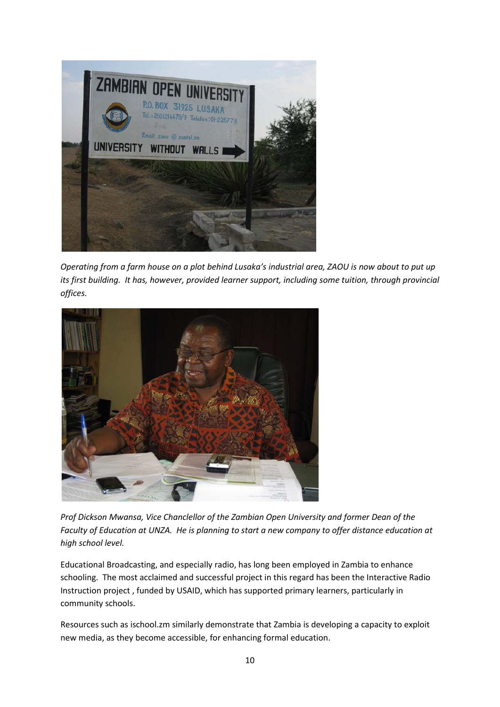

*Operating from a farm house on a plot behind Lusaka's industrial area, ZAOU is now about to put up its first building. It has, however, provided learner support, including some tuition, through provincial offices.*



*Prof Dickson Mwansa, Vice Chanclellor of the Zambian Open University and former Dean of the Faculty of Education at UNZA. He is planning to start a new company to offer distance education at high school level.*

Educational Broadcasting, and especially radio, has long been employed in Zambia to enhance schooling. The most acclaimed and successful project in this regard has been the Interactive Radio Instruction project , funded by USAID, which has supported primary learners, particularly in community schools.

Resources such as ischool.zm similarly demonstrate that Zambia is developing a capacity to exploit new media, as they become accessible, for enhancing formal education.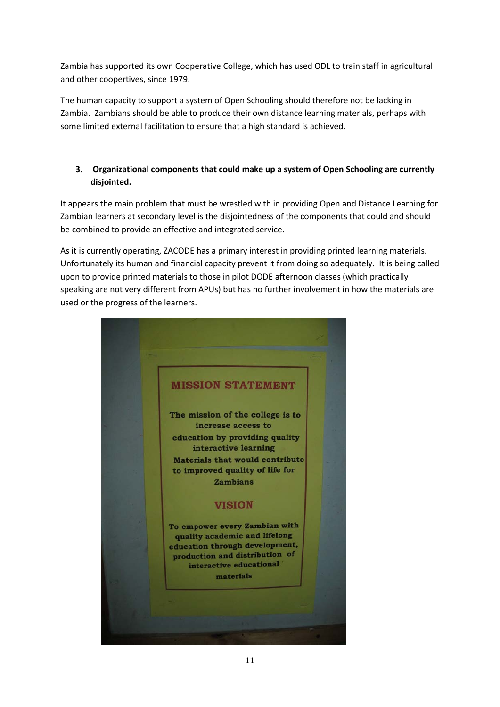Zambia has supported its own Cooperative College, which has used ODL to train staff in agricultural and other coopertives, since 1979.

The human capacity to support a system of Open Schooling should therefore not be lacking in Zambia. Zambians should be able to produce their own distance learning materials, perhaps with some limited external facilitation to ensure that a high standard is achieved.

#### **3. Organizational components that could make up a system of Open Schooling are currently disjointed.**

It appears the main problem that must be wrestled with in providing Open and Distance Learning for Zambian learners at secondary level is the disjointedness of the components that could and should be combined to provide an effective and integrated service.

As it is currently operating, ZACODE has a primary interest in providing printed learning materials. Unfortunately its human and financial capacity prevent it from doing so adequately. It is being called upon to provide printed materials to those in pilot DODE afternoon classes (which practically speaking are not very different from APUs) but has no further involvement in how the materials are used or the progress of the learners.

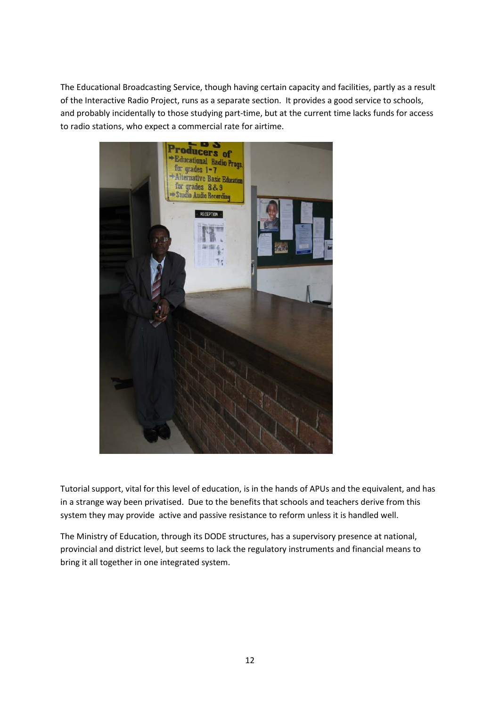The Educational Broadcasting Service, though having certain capacity and facilities, partly as a result of the Interactive Radio Project, runs as a separate section. It provides a good service to schools, and probably incidentally to those studying part-time, but at the current time lacks funds for access to radio stations, who expect a commercial rate for airtime.



Tutorial support, vital for this level of education, is in the hands of APUs and the equivalent, and has in a strange way been privatised. Due to the benefits that schools and teachers derive from this system they may provide active and passive resistance to reform unless it is handled well.

The Ministry of Education, through its DODE structures, has a supervisory presence at national, provincial and district level, but seems to lack the regulatory instruments and financial means to bring it all together in one integrated system.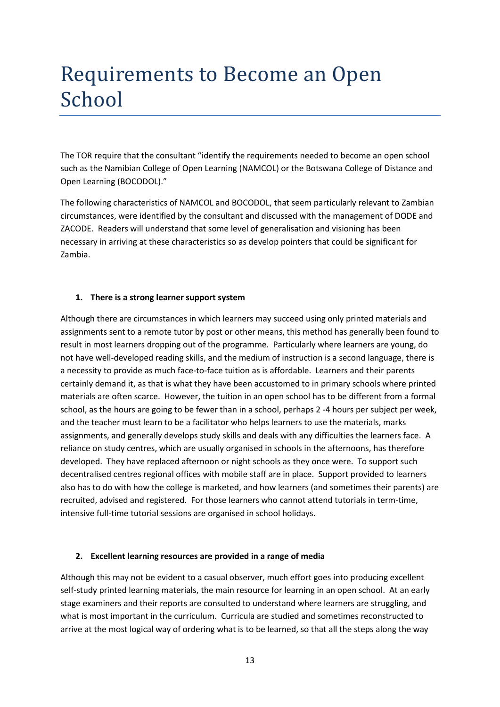### Requirements to Become an Open School

The TOR require that the consultant "identify the requirements needed to become an open school such as the Namibian College of Open Learning (NAMCOL) or the Botswana College of Distance and Open Learning (BOCODOL)."

The following characteristics of NAMCOL and BOCODOL, that seem particularly relevant to Zambian circumstances, were identified by the consultant and discussed with the management of DODE and ZACODE. Readers will understand that some level of generalisation and visioning has been necessary in arriving at these characteristics so as develop pointers that could be significant for Zambia.

#### **1. There is a strong learner support system**

Although there are circumstances in which learners may succeed using only printed materials and assignments sent to a remote tutor by post or other means, this method has generally been found to result in most learners dropping out of the programme. Particularly where learners are young, do not have well-developed reading skills, and the medium of instruction is a second language, there is a necessity to provide as much face-to-face tuition as is affordable. Learners and their parents certainly demand it, as that is what they have been accustomed to in primary schools where printed materials are often scarce. However, the tuition in an open school has to be different from a formal school, as the hours are going to be fewer than in a school, perhaps 2 -4 hours per subject per week, and the teacher must learn to be a facilitator who helps learners to use the materials, marks assignments, and generally develops study skills and deals with any difficulties the learners face. A reliance on study centres, which are usually organised in schools in the afternoons, has therefore developed. They have replaced afternoon or night schools as they once were. To support such decentralised centres regional offices with mobile staff are in place. Support provided to learners also has to do with how the college is marketed, and how learners (and sometimes their parents) are recruited, advised and registered. For those learners who cannot attend tutorials in term-time, intensive full-time tutorial sessions are organised in school holidays.

#### **2. Excellent learning resources are provided in a range of media**

Although this may not be evident to a casual observer, much effort goes into producing excellent self-study printed learning materials, the main resource for learning in an open school. At an early stage examiners and their reports are consulted to understand where learners are struggling, and what is most important in the curriculum. Curricula are studied and sometimes reconstructed to arrive at the most logical way of ordering what is to be learned, so that all the steps along the way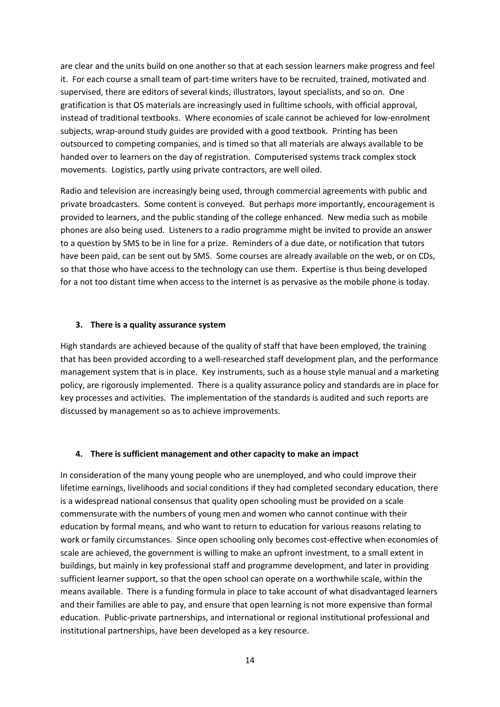are clear and the units build on one another so that at each session learners make progress and feel it. For each course a small team of part-time writers have to be recruited, trained, motivated and supervised, there are editors of several kinds, illustrators, layout specialists, and so on. One gratification is that OS materials are increasingly used in fulltime schools, with official approval, instead of traditional textbooks. Where economies of scale cannot be achieved for low-enrolment subjects, wrap-around study guides are provided with a good textbook. Printing has been outsourced to competing companies, and is timed so that all materials are always available to be handed over to learners on the day of registration. Computerised systems track complex stock movements. Logistics, partly using private contractors, are well oiled.

Radio and television are increasingly being used, through commercial agreements with public and private broadcasters. Some content is conveyed. But perhaps more importantly, encouragement is provided to learners, and the public standing of the college enhanced. New media such as mobile phones are also being used. Listeners to a radio programme might be invited to provide an answer to a question by SMS to be in line for a prize. Reminders of a due date, or notification that tutors have been paid, can be sent out by SMS. Some courses are already available on the web, or on CDs, so that those who have access to the technology can use them. Expertise is thus being developed for a not too distant time when access to the internet is as pervasive as the mobile phone is today.

#### **3. There is a quality assurance system**

High standards are achieved because of the quality of staff that have been employed, the training that has been provided according to a well-researched staff development plan, and the performance management system that is in place. Key instruments, such as a house style manual and a marketing policy, are rigorously implemented. There is a quality assurance policy and standards are in place for key processes and activities. The implementation of the standards is audited and such reports are discussed by management so as to achieve improvements.

#### **4. There is sufficient management and other capacity to make an impact**

In consideration of the many young people who are unemployed, and who could improve their lifetime earnings, livelihoods and social conditions if they had completed secondary education, there is a widespread national consensus that quality open schooling must be provided on a scale commensurate with the numbers of young men and women who cannot continue with their education by formal means, and who want to return to education for various reasons relating to work or family circumstances. Since open schooling only becomes cost-effective when economies of scale are achieved, the government is willing to make an upfront investment, to a small extent in buildings, but mainly in key professional staff and programme development, and later in providing sufficient learner support, so that the open school can operate on a worthwhile scale, within the means available. There is a funding formula in place to take account of what disadvantaged learners and their families are able to pay, and ensure that open learning is not more expensive than formal education. Public-private partnerships, and international or regional institutional professional and institutional partnerships, have been developed as a key resource.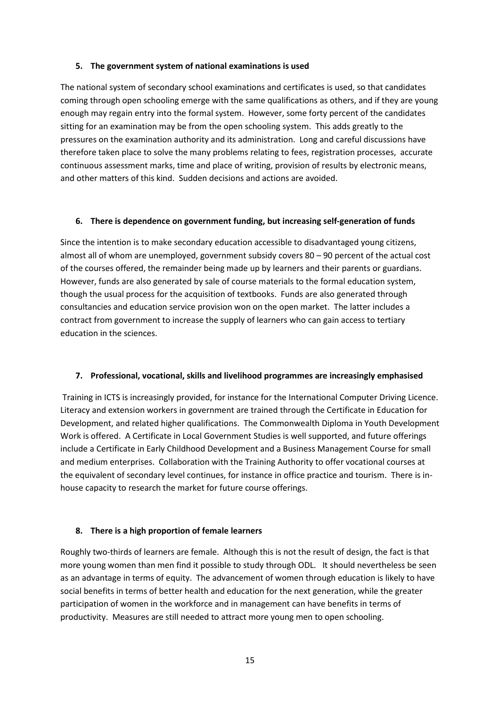#### **5. The government system of national examinations is used**

The national system of secondary school examinations and certificates is used, so that candidates coming through open schooling emerge with the same qualifications as others, and if they are young enough may regain entry into the formal system. However, some forty percent of the candidates sitting for an examination may be from the open schooling system. This adds greatly to the pressures on the examination authority and its administration. Long and careful discussions have therefore taken place to solve the many problems relating to fees, registration processes, accurate continuous assessment marks, time and place of writing, provision of results by electronic means, and other matters of this kind. Sudden decisions and actions are avoided.

#### **6. There is dependence on government funding, but increasing self-generation of funds**

Since the intention is to make secondary education accessible to disadvantaged young citizens, almost all of whom are unemployed, government subsidy covers 80 – 90 percent of the actual cost of the courses offered, the remainder being made up by learners and their parents or guardians. However, funds are also generated by sale of course materials to the formal education system, though the usual process for the acquisition of textbooks. Funds are also generated through consultancies and education service provision won on the open market. The latter includes a contract from government to increase the supply of learners who can gain access to tertiary education in the sciences.

#### **7. Professional, vocational, skills and livelihood programmes are increasingly emphasised**

Training in ICTS is increasingly provided, for instance for the International Computer Driving Licence. Literacy and extension workers in government are trained through the Certificate in Education for Development, and related higher qualifications. The Commonwealth Diploma in Youth Development Work is offered. A Certificate in Local Government Studies is well supported, and future offerings include a Certificate in Early Childhood Development and a Business Management Course for small and medium enterprises. Collaboration with the Training Authority to offer vocational courses at the equivalent of secondary level continues, for instance in office practice and tourism. There is inhouse capacity to research the market for future course offerings.

#### **8. There is a high proportion of female learners**

Roughly two-thirds of learners are female. Although this is not the result of design, the fact is that more young women than men find it possible to study through ODL. It should nevertheless be seen as an advantage in terms of equity. The advancement of women through education is likely to have social benefits in terms of better health and education for the next generation, while the greater participation of women in the workforce and in management can have benefits in terms of productivity. Measures are still needed to attract more young men to open schooling.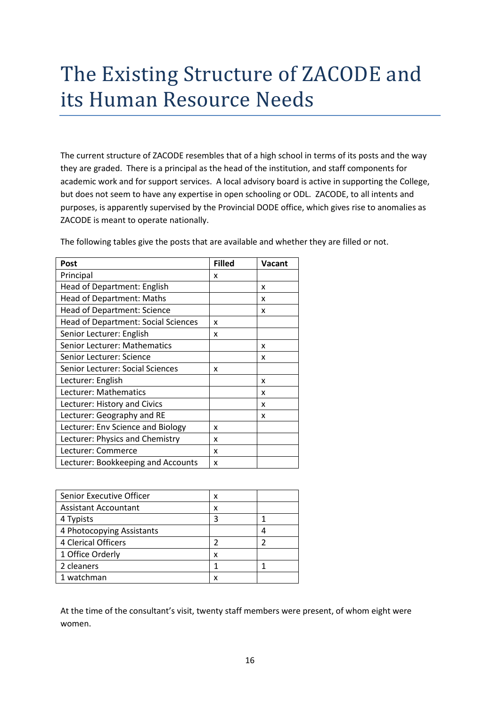## The Existing Structure of ZACODE and its Human Resource Needs

The current structure of ZACODE resembles that of a high school in terms of its posts and the way they are graded. There is a principal as the head of the institution, and staff components for academic work and for support services. A local advisory board is active in supporting the College, but does not seem to have any expertise in open schooling or ODL. ZACODE, to all intents and purposes, is apparently supervised by the Provincial DODE office, which gives rise to anomalies as ZACODE is meant to operate nationally.

| Post                                       | <b>Filled</b> | <b>Vacant</b> |
|--------------------------------------------|---------------|---------------|
| Principal                                  | x             |               |
| Head of Department: English                |               | x             |
| Head of Department: Maths                  |               | x             |
| <b>Head of Department: Science</b>         |               | x             |
| <b>Head of Department: Social Sciences</b> | x             |               |
| Senior Lecturer: English                   | x             |               |
| Senior Lecturer: Mathematics               |               | x             |
| Senior Lecturer: Science                   |               | x             |
| Senior Lecturer: Social Sciences           | x             |               |
| Lecturer: English                          |               | x             |
| Lecturer: Mathematics                      |               | x             |
| Lecturer: History and Civics               |               | x             |
| Lecturer: Geography and RE                 |               | x             |
| Lecturer: Env Science and Biology          | x             |               |
| Lecturer: Physics and Chemistry            | x             |               |
| Lecturer: Commerce                         | x             |               |
| Lecturer: Bookkeeping and Accounts         | x             |               |

The following tables give the posts that are available and whether they are filled or not.

| Senior Executive Officer    | x |  |
|-----------------------------|---|--|
| <b>Assistant Accountant</b> | x |  |
| 4 Typists                   |   |  |
| 4 Photocopying Assistants   |   |  |
| 4 Clerical Officers         |   |  |
| 1 Office Orderly            | x |  |
| 2 cleaners                  |   |  |
| 1 watchman                  |   |  |

At the time of the consultant's visit, twenty staff members were present, of whom eight were women.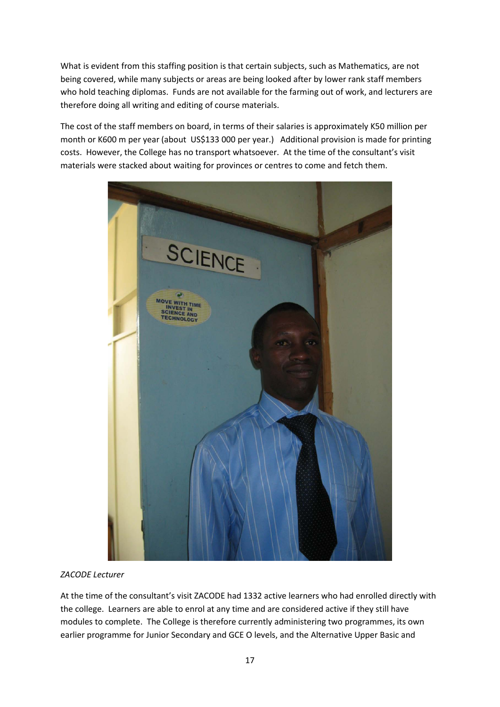What is evident from this staffing position is that certain subjects, such as Mathematics, are not being covered, while many subjects or areas are being looked after by lower rank staff members who hold teaching diplomas. Funds are not available for the farming out of work, and lecturers are therefore doing all writing and editing of course materials.

The cost of the staff members on board, in terms of their salaries is approximately K50 million per month or K600 m per year (about US\$133 000 per year.) Additional provision is made for printing costs. However, the College has no transport whatsoever. At the time of the consultant's visit materials were stacked about waiting for provinces or centres to come and fetch them.



*ZACODE Lecturer*

At the time of the consultant's visit ZACODE had 1332 active learners who had enrolled directly with the college. Learners are able to enrol at any time and are considered active if they still have modules to complete. The College is therefore currently administering two programmes, its own earlier programme for Junior Secondary and GCE O levels, and the Alternative Upper Basic and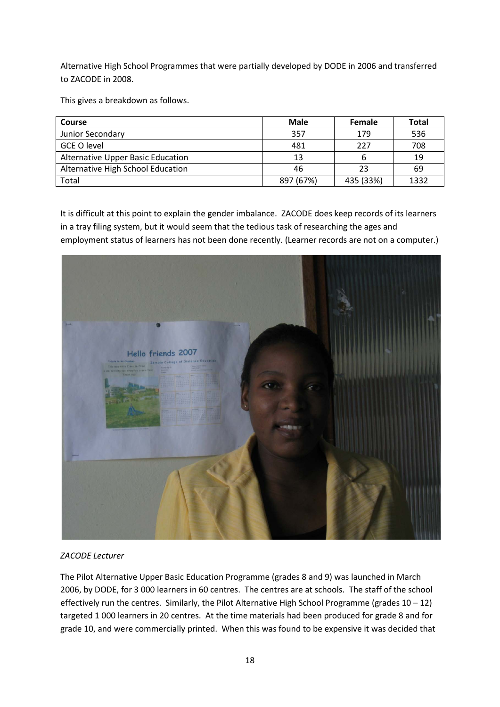Alternative High School Programmes that were partially developed by DODE in 2006 and transferred to ZACODE in 2008.

This gives a breakdown as follows.

| <b>Course</b>                     | Male      | <b>Female</b> | Total |
|-----------------------------------|-----------|---------------|-------|
| Junior Secondary                  | 357       | 179           | 536   |
| <b>GCE O level</b>                | 481       | 227           | 708   |
| Alternative Upper Basic Education | 13        |               | 19    |
| Alternative High School Education | 46        | 23            | 69    |
| Total                             | 897 (67%) | 435 (33%)     | 1332  |

It is difficult at this point to explain the gender imbalance. ZACODE does keep records of its learners in a tray filing system, but it would seem that the tedious task of researching the ages and employment status of learners has not been done recently. (Learner records are not on a computer.)



#### *ZACODE Lecturer*

The Pilot Alternative Upper Basic Education Programme (grades 8 and 9) was launched in March 2006, by DODE, for 3 000 learners in 60 centres. The centres are at schools. The staff of the school effectively run the centres. Similarly, the Pilot Alternative High School Programme (grades 10 – 12) targeted 1 000 learners in 20 centres. At the time materials had been produced for grade 8 and for grade 10, and were commercially printed. When this was found to be expensive it was decided that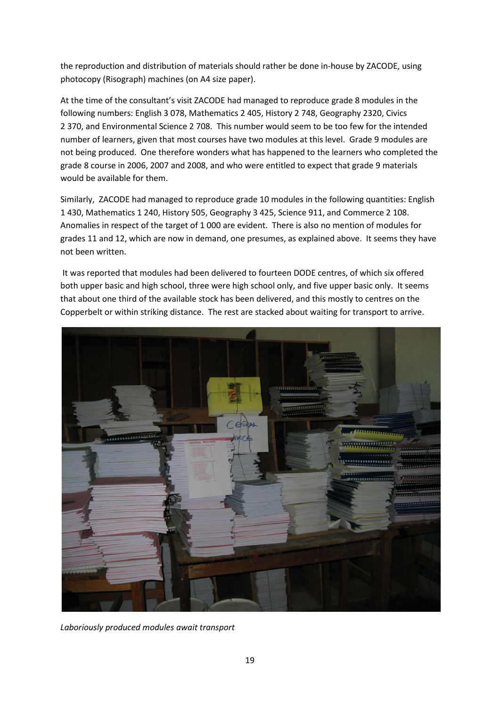the reproduction and distribution of materials should rather be done in-house by ZACODE, using photocopy (Risograph) machines (on A4 size paper).

At the time of the consultant's visit ZACODE had managed to reproduce grade 8 modules in the following numbers: English 3 078, Mathematics 2 405, History 2 748, Geography 2320, Civics 2 370, and Environmental Science 2 708. This number would seem to be too few for the intended number of learners, given that most courses have two modules at this level. Grade 9 modules are not being produced. One therefore wonders what has happened to the learners who completed the grade 8 course in 2006, 2007 and 2008, and who were entitled to expect that grade 9 materials would be available for them.

Similarly, ZACODE had managed to reproduce grade 10 modules in the following quantities: English 1 430, Mathematics 1 240, History 505, Geography 3 425, Science 911, and Commerce 2 108. Anomalies in respect of the target of 1 000 are evident. There is also no mention of modules for grades 11 and 12, which are now in demand, one presumes, as explained above. It seems they have not been written.

It was reported that modules had been delivered to fourteen DODE centres, of which six offered both upper basic and high school, three were high school only, and five upper basic only. It seems that about one third of the available stock has been delivered, and this mostly to centres on the Copperbelt or within striking distance. The rest are stacked about waiting for transport to arrive.



*Laboriously produced modules await transport*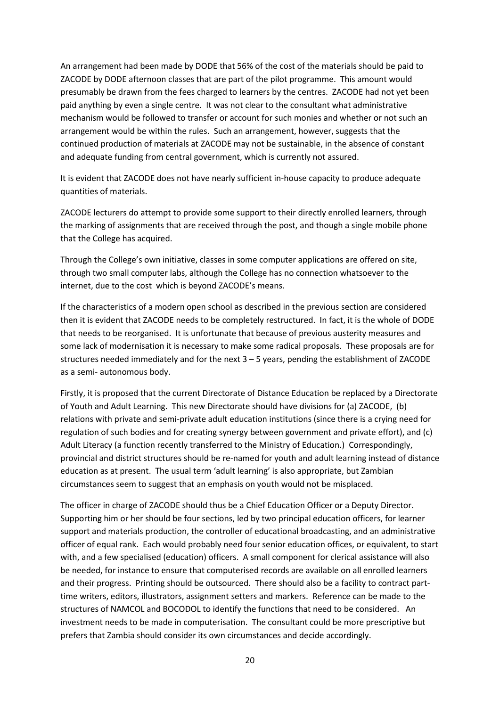An arrangement had been made by DODE that 56% of the cost of the materials should be paid to ZACODE by DODE afternoon classes that are part of the pilot programme. This amount would presumably be drawn from the fees charged to learners by the centres. ZACODE had not yet been paid anything by even a single centre. It was not clear to the consultant what administrative mechanism would be followed to transfer or account for such monies and whether or not such an arrangement would be within the rules. Such an arrangement, however, suggests that the continued production of materials at ZACODE may not be sustainable, in the absence of constant and adequate funding from central government, which is currently not assured.

It is evident that ZACODE does not have nearly sufficient in-house capacity to produce adequate quantities of materials.

ZACODE lecturers do attempt to provide some support to their directly enrolled learners, through the marking of assignments that are received through the post, and though a single mobile phone that the College has acquired.

Through the College's own initiative, classes in some computer applications are offered on site, through two small computer labs, although the College has no connection whatsoever to the internet, due to the cost which is beyond ZACODE's means.

If the characteristics of a modern open school as described in the previous section are considered then it is evident that ZACODE needs to be completely restructured. In fact, it is the whole of DODE that needs to be reorganised. It is unfortunate that because of previous austerity measures and some lack of modernisation it is necessary to make some radical proposals. These proposals are for structures needed immediately and for the next 3 – 5 years, pending the establishment of ZACODE as a semi- autonomous body.

Firstly, it is proposed that the current Directorate of Distance Education be replaced by a Directorate of Youth and Adult Learning. This new Directorate should have divisions for (a) ZACODE, (b) relations with private and semi-private adult education institutions (since there is a crying need for regulation of such bodies and for creating synergy between government and private effort), and (c) Adult Literacy (a function recently transferred to the Ministry of Education.) Correspondingly, provincial and district structures should be re-named for youth and adult learning instead of distance education as at present. The usual term 'adult learning' is also appropriate, but Zambian circumstances seem to suggest that an emphasis on youth would not be misplaced.

The officer in charge of ZACODE should thus be a Chief Education Officer or a Deputy Director. Supporting him or her should be four sections, led by two principal education officers, for learner support and materials production, the controller of educational broadcasting, and an administrative officer of equal rank. Each would probably need four senior education offices, or equivalent, to start with, and a few specialised (education) officers. A small component for clerical assistance will also be needed, for instance to ensure that computerised records are available on all enrolled learners and their progress. Printing should be outsourced. There should also be a facility to contract parttime writers, editors, illustrators, assignment setters and markers. Reference can be made to the structures of NAMCOL and BOCODOL to identify the functions that need to be considered. An investment needs to be made in computerisation. The consultant could be more prescriptive but prefers that Zambia should consider its own circumstances and decide accordingly.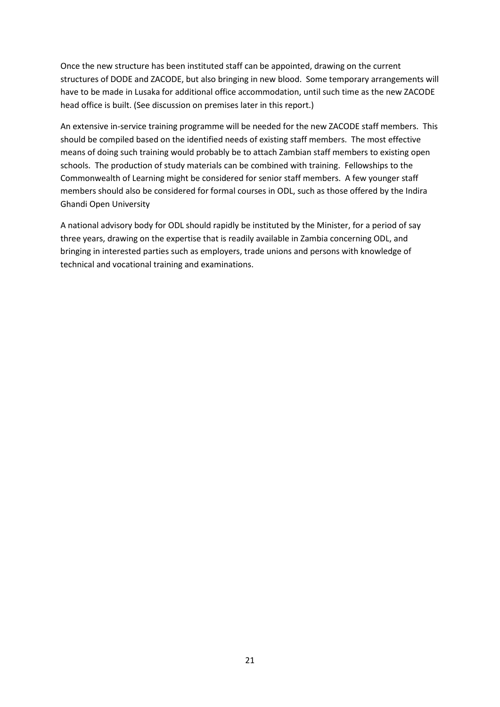Once the new structure has been instituted staff can be appointed, drawing on the current structures of DODE and ZACODE, but also bringing in new blood. Some temporary arrangements will have to be made in Lusaka for additional office accommodation, until such time as the new ZACODE head office is built. (See discussion on premises later in this report.)

An extensive in-service training programme will be needed for the new ZACODE staff members. This should be compiled based on the identified needs of existing staff members. The most effective means of doing such training would probably be to attach Zambian staff members to existing open schools. The production of study materials can be combined with training. Fellowships to the Commonwealth of Learning might be considered for senior staff members. A few younger staff members should also be considered for formal courses in ODL, such as those offered by the Indira Ghandi Open University

A national advisory body for ODL should rapidly be instituted by the Minister, for a period of say three years, drawing on the expertise that is readily available in Zambia concerning ODL, and bringing in interested parties such as employers, trade unions and persons with knowledge of technical and vocational training and examinations.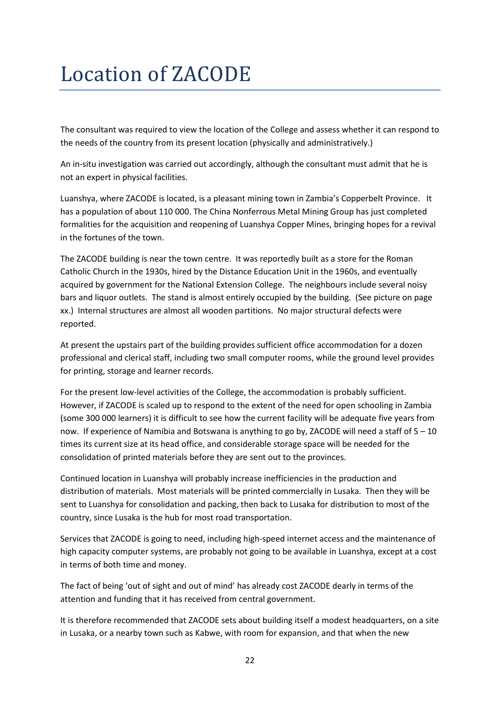# Location of ZACODE

The consultant was required to view the location of the College and assess whether it can respond to the needs of the country from its present location (physically and administratively.)

An in-situ investigation was carried out accordingly, although the consultant must admit that he is not an expert in physical facilities.

Luanshya, where ZACODE is located, is a pleasant mining town in Zambia's Copperbelt Province. It has a population of about 110 000. The China Nonferrous Metal Mining Group has just completed formalities for the acquisition and reopening of Luanshya Copper Mines, bringing hopes for a revival in the fortunes of the town.

The ZACODE building is near the town centre. It was reportedly built as a store for the Roman Catholic Church in the 1930s, hired by the Distance Education Unit in the 1960s, and eventually acquired by government for the National Extension College. The neighbours include several noisy bars and liquor outlets. The stand is almost entirely occupied by the building. (See picture on page xx.) Internal structures are almost all wooden partitions. No major structural defects were reported.

At present the upstairs part of the building provides sufficient office accommodation for a dozen professional and clerical staff, including two small computer rooms, while the ground level provides for printing, storage and learner records.

For the present low-level activities of the College, the accommodation is probably sufficient. However, if ZACODE is scaled up to respond to the extent of the need for open schooling in Zambia (some 300 000 learners) it is difficult to see how the current facility will be adequate five years from now. If experience of Namibia and Botswana is anything to go by, ZACODE will need a staff of 5 – 10 times its current size at its head office, and considerable storage space will be needed for the consolidation of printed materials before they are sent out to the provinces.

Continued location in Luanshya will probably increase inefficiencies in the production and distribution of materials. Most materials will be printed commercially in Lusaka. Then they will be sent to Luanshya for consolidation and packing, then back to Lusaka for distribution to most of the country, since Lusaka is the hub for most road transportation.

Services that ZACODE is going to need, including high-speed internet access and the maintenance of high capacity computer systems, are probably not going to be available in Luanshya, except at a cost in terms of both time and money.

The fact of being 'out of sight and out of mind' has already cost ZACODE dearly in terms of the attention and funding that it has received from central government.

It is therefore recommended that ZACODE sets about building itself a modest headquarters, on a site in Lusaka, or a nearby town such as Kabwe, with room for expansion, and that when the new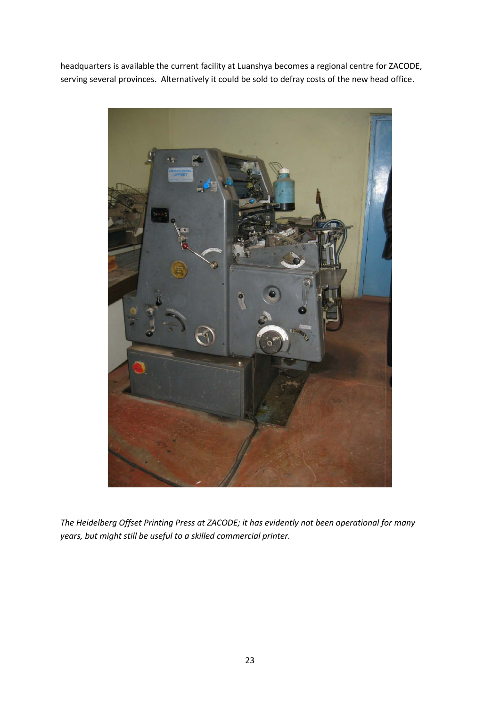headquarters is available the current facility at Luanshya becomes a regional centre for ZACODE, serving several provinces. Alternatively it could be sold to defray costs of the new head office.



*The Heidelberg Offset Printing Press at ZACODE; it has evidently not been operational for many years, but might still be useful to a skilled commercial printer.*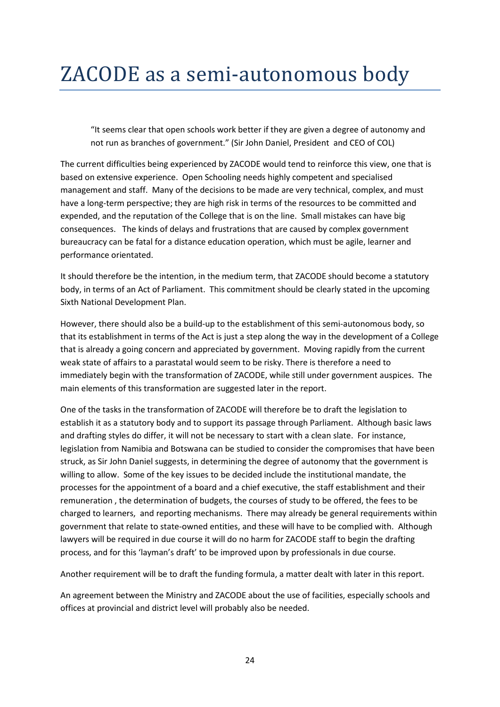"It seems clear that open schools work better if they are given a degree of autonomy and not run as branches of government." (Sir John Daniel, President and CEO of COL)

The current difficulties being experienced by ZACODE would tend to reinforce this view, one that is based on extensive experience. Open Schooling needs highly competent and specialised management and staff. Many of the decisions to be made are very technical, complex, and must have a long-term perspective; they are high risk in terms of the resources to be committed and expended, and the reputation of the College that is on the line. Small mistakes can have big consequences. The kinds of delays and frustrations that are caused by complex government bureaucracy can be fatal for a distance education operation, which must be agile, learner and performance orientated.

It should therefore be the intention, in the medium term, that ZACODE should become a statutory body, in terms of an Act of Parliament. This commitment should be clearly stated in the upcoming Sixth National Development Plan.

However, there should also be a build-up to the establishment of this semi-autonomous body, so that its establishment in terms of the Act is just a step along the way in the development of a College that is already a going concern and appreciated by government. Moving rapidly from the current weak state of affairs to a parastatal would seem to be risky. There is therefore a need to immediately begin with the transformation of ZACODE, while still under government auspices. The main elements of this transformation are suggested later in the report.

One of the tasks in the transformation of ZACODE will therefore be to draft the legislation to establish it as a statutory body and to support its passage through Parliament. Although basic laws and drafting styles do differ, it will not be necessary to start with a clean slate. For instance, legislation from Namibia and Botswana can be studied to consider the compromises that have been struck, as Sir John Daniel suggests, in determining the degree of autonomy that the government is willing to allow. Some of the key issues to be decided include the institutional mandate, the processes for the appointment of a board and a chief executive, the staff establishment and their remuneration , the determination of budgets, the courses of study to be offered, the fees to be charged to learners, and reporting mechanisms. There may already be general requirements within government that relate to state-owned entities, and these will have to be complied with. Although lawyers will be required in due course it will do no harm for ZACODE staff to begin the drafting process, and for this 'layman's draft' to be improved upon by professionals in due course.

Another requirement will be to draft the funding formula, a matter dealt with later in this report.

An agreement between the Ministry and ZACODE about the use of facilities, especially schools and offices at provincial and district level will probably also be needed.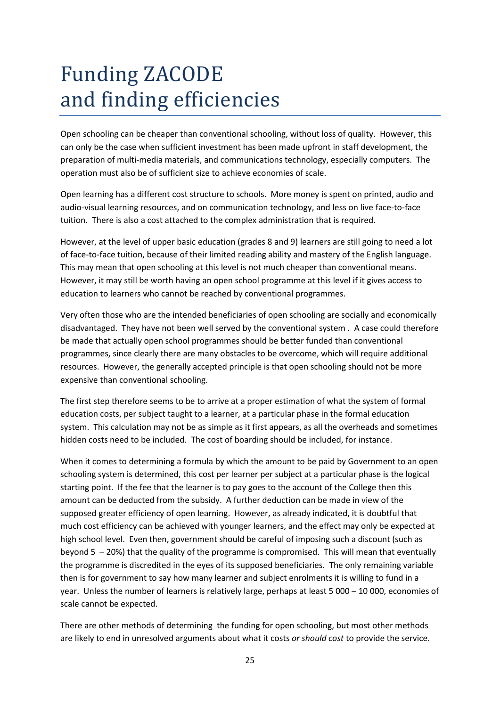# Funding ZACODE and finding efficiencies

Open schooling can be cheaper than conventional schooling, without loss of quality. However, this can only be the case when sufficient investment has been made upfront in staff development, the preparation of multi-media materials, and communications technology, especially computers. The operation must also be of sufficient size to achieve economies of scale.

Open learning has a different cost structure to schools. More money is spent on printed, audio and audio-visual learning resources, and on communication technology, and less on live face-to-face tuition. There is also a cost attached to the complex administration that is required.

However, at the level of upper basic education (grades 8 and 9) learners are still going to need a lot of face-to-face tuition, because of their limited reading ability and mastery of the English language. This may mean that open schooling at this level is not much cheaper than conventional means. However, it may still be worth having an open school programme at this level if it gives access to education to learners who cannot be reached by conventional programmes.

Very often those who are the intended beneficiaries of open schooling are socially and economically disadvantaged. They have not been well served by the conventional system . A case could therefore be made that actually open school programmes should be better funded than conventional programmes, since clearly there are many obstacles to be overcome, which will require additional resources. However, the generally accepted principle is that open schooling should not be more expensive than conventional schooling.

The first step therefore seems to be to arrive at a proper estimation of what the system of formal education costs, per subject taught to a learner, at a particular phase in the formal education system. This calculation may not be as simple as it first appears, as all the overheads and sometimes hidden costs need to be included. The cost of boarding should be included, for instance.

When it comes to determining a formula by which the amount to be paid by Government to an open schooling system is determined, this cost per learner per subject at a particular phase is the logical starting point. If the fee that the learner is to pay goes to the account of the College then this amount can be deducted from the subsidy. A further deduction can be made in view of the supposed greater efficiency of open learning. However, as already indicated, it is doubtful that much cost efficiency can be achieved with younger learners, and the effect may only be expected at high school level. Even then, government should be careful of imposing such a discount (such as beyond 5 – 20%) that the quality of the programme is compromised. This will mean that eventually the programme is discredited in the eyes of its supposed beneficiaries. The only remaining variable then is for government to say how many learner and subject enrolments it is willing to fund in a year. Unless the number of learners is relatively large, perhaps at least 5 000 – 10 000, economies of scale cannot be expected.

There are other methods of determining the funding for open schooling, but most other methods are likely to end in unresolved arguments about what it costs *or should cost* to provide the service.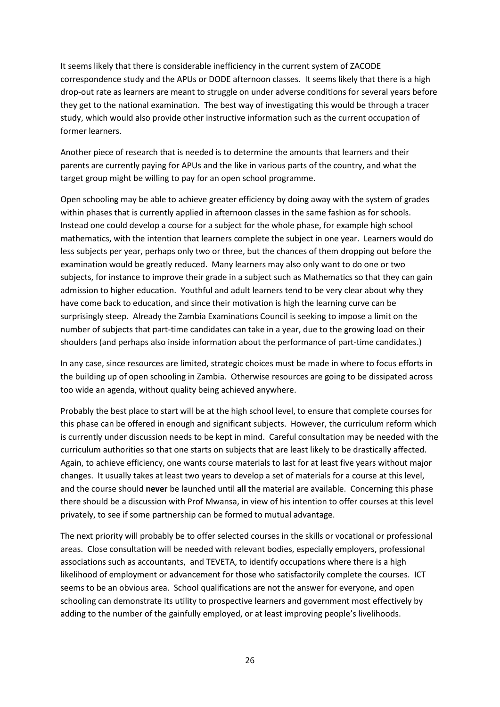It seems likely that there is considerable inefficiency in the current system of ZACODE correspondence study and the APUs or DODE afternoon classes. It seems likely that there is a high drop-out rate as learners are meant to struggle on under adverse conditions for several years before they get to the national examination. The best way of investigating this would be through a tracer study, which would also provide other instructive information such as the current occupation of former learners.

Another piece of research that is needed is to determine the amounts that learners and their parents are currently paying for APUs and the like in various parts of the country, and what the target group might be willing to pay for an open school programme.

Open schooling may be able to achieve greater efficiency by doing away with the system of grades within phases that is currently applied in afternoon classes in the same fashion as for schools. Instead one could develop a course for a subject for the whole phase, for example high school mathematics, with the intention that learners complete the subject in one year. Learners would do less subjects per year, perhaps only two or three, but the chances of them dropping out before the examination would be greatly reduced. Many learners may also only want to do one or two subjects, for instance to improve their grade in a subject such as Mathematics so that they can gain admission to higher education. Youthful and adult learners tend to be very clear about why they have come back to education, and since their motivation is high the learning curve can be surprisingly steep. Already the Zambia Examinations Council is seeking to impose a limit on the number of subjects that part-time candidates can take in a year, due to the growing load on their shoulders (and perhaps also inside information about the performance of part-time candidates.)

In any case, since resources are limited, strategic choices must be made in where to focus efforts in the building up of open schooling in Zambia. Otherwise resources are going to be dissipated across too wide an agenda, without quality being achieved anywhere.

Probably the best place to start will be at the high school level, to ensure that complete courses for this phase can be offered in enough and significant subjects. However, the curriculum reform which is currently under discussion needs to be kept in mind. Careful consultation may be needed with the curriculum authorities so that one starts on subjects that are least likely to be drastically affected. Again, to achieve efficiency, one wants course materials to last for at least five years without major changes. It usually takes at least two years to develop a set of materials for a course at this level, and the course should **never** be launched until **all** the material are available. Concerning this phase there should be a discussion with Prof Mwansa, in view of his intention to offer courses at this level privately, to see if some partnership can be formed to mutual advantage.

The next priority will probably be to offer selected courses in the skills or vocational or professional areas. Close consultation will be needed with relevant bodies, especially employers, professional associations such as accountants, and TEVETA, to identify occupations where there is a high likelihood of employment or advancement for those who satisfactorily complete the courses. ICT seems to be an obvious area. School qualifications are not the answer for everyone, and open schooling can demonstrate its utility to prospective learners and government most effectively by adding to the number of the gainfully employed, or at least improving people's livelihoods.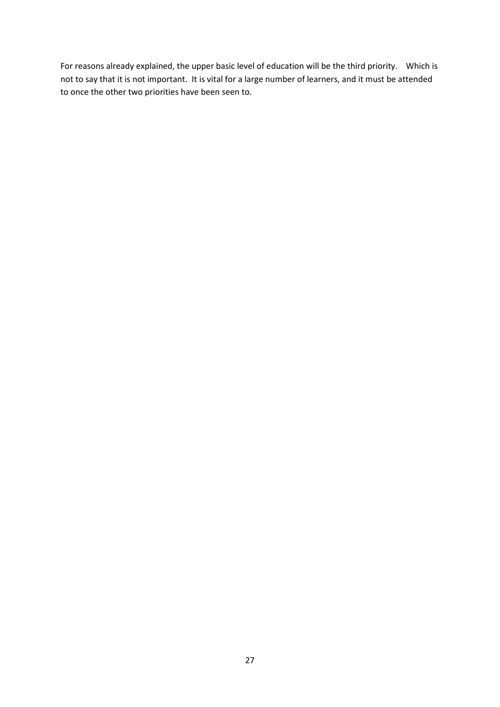For reasons already explained, the upper basic level of education will be the third priority. Which is not to say that it is not important. It is vital for a large number of learners, and it must be attended to once the other two priorities have been seen to.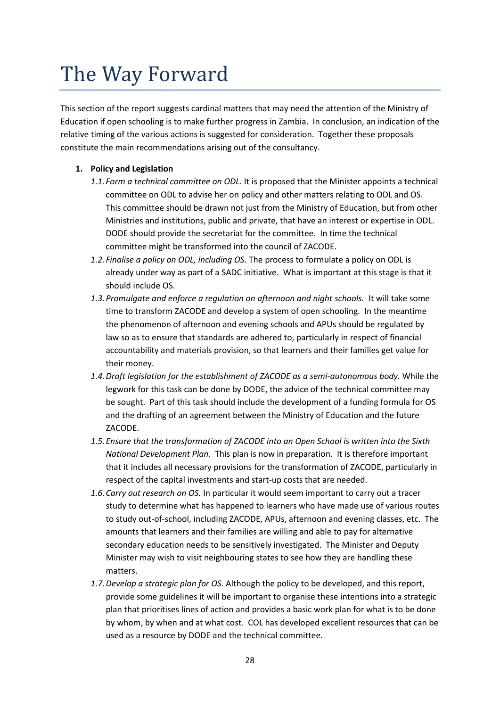# The Way Forward

This section of the report suggests cardinal matters that may need the attention of the Ministry of Education if open schooling is to make further progress in Zambia. In conclusion, an indication of the relative timing of the various actions is suggested for consideration. Together these proposals constitute the main recommendations arising out of the consultancy.

#### **1. Policy and Legislation**

- *1.1.Form a technical committee on ODL.* It is proposed that the Minister appoints a technical committee on ODL to advise her on policy and other matters relating to ODL and OS. This committee should be drawn not just from the Ministry of Education, but from other Ministries and institutions, public and private, that have an interest or expertise in ODL. DODE should provide the secretariat for the committee. In time the technical committee might be transformed into the council of ZACODE.
- *1.2.Finalise a policy on ODL, including OS.* The process to formulate a policy on ODL is already under way as part of a SADC initiative. What is important at this stage is that it should include OS.
- *1.3.Promulgate and enforce a regulation on afternoon and night schools.* It will take some time to transform ZACODE and develop a system of open schooling. In the meantime the phenomenon of afternoon and evening schools and APUs should be regulated by law so as to ensure that standards are adhered to, particularly in respect of financial accountability and materials provision, so that learners and their families get value for their money.
- *1.4.Draft legislation for the establishment of ZACODE as a semi-autonomous body.* While the legwork for this task can be done by DODE, the advice of the technical committee may be sought. Part of this task should include the development of a funding formula for OS and the drafting of an agreement between the Ministry of Education and the future ZACODE.
- *1.5.Ensure that the transformation of ZACODE into an Open School is written into the Sixth National Development Plan.* This plan is now in preparation. It is therefore important that it includes all necessary provisions for the transformation of ZACODE, particularly in respect of the capital investments and start-up costs that are needed.
- *1.6.Carry out research on OS.* In particular it would seem important to carry out a tracer study to determine what has happened to learners who have made use of various routes to study out-of-school, including ZACODE, APUs, afternoon and evening classes, etc. The amounts that learners and their families are willing and able to pay for alternative secondary education needs to be sensitively investigated. The Minister and Deputy Minister may wish to visit neighbouring states to see how they are handling these matters.
- *1.7.Develop a strategic plan for OS.* Although the policy to be developed, and this report, provide some guidelines it will be important to organise these intentions into a strategic plan that prioritises lines of action and provides a basic work plan for what is to be done by whom, by when and at what cost. COL has developed excellent resources that can be used as a resource by DODE and the technical committee.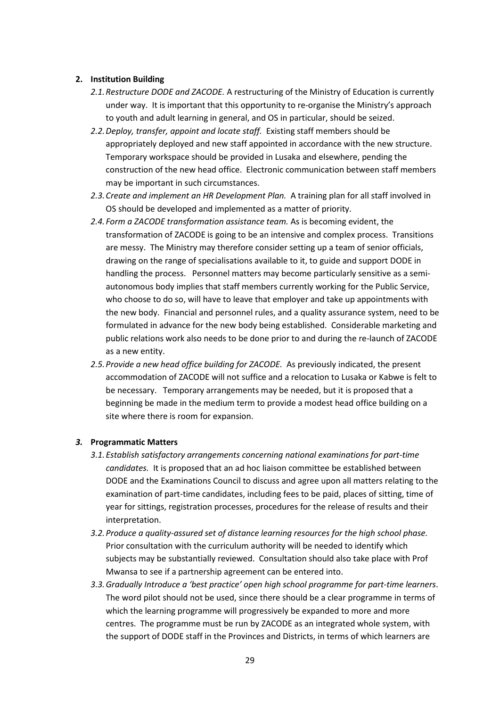#### **2. Institution Building**

- *2.1.Restructure DODE and ZACODE.* A restructuring of the Ministry of Education is currently under way. It is important that this opportunity to re-organise the Ministry's approach to youth and adult learning in general, and OS in particular, should be seized.
- *2.2.Deploy, transfer, appoint and locate staff.* Existing staff members should be appropriately deployed and new staff appointed in accordance with the new structure. Temporary workspace should be provided in Lusaka and elsewhere, pending the construction of the new head office. Electronic communication between staff members may be important in such circumstances.
- *2.3.Create and implement an HR Development Plan.* A training plan for all staff involved in OS should be developed and implemented as a matter of priority.
- *2.4.Form a ZACODE transformation assistance team.* As is becoming evident, the transformation of ZACODE is going to be an intensive and complex process. Transitions are messy. The Ministry may therefore consider setting up a team of senior officials, drawing on the range of specialisations available to it, to guide and support DODE in handling the process. Personnel matters may become particularly sensitive as a semiautonomous body implies that staff members currently working for the Public Service, who choose to do so, will have to leave that employer and take up appointments with the new body. Financial and personnel rules, and a quality assurance system, need to be formulated in advance for the new body being established. Considerable marketing and public relations work also needs to be done prior to and during the re-launch of ZACODE as a new entity.
- *2.5.Provide a new head office building for ZACODE.* As previously indicated, the present accommodation of ZACODE will not suffice and a relocation to Lusaka or Kabwe is felt to be necessary. Temporary arrangements may be needed, but it is proposed that a beginning be made in the medium term to provide a modest head office building on a site where there is room for expansion.

#### *3.* **Programmatic Matters**

- *3.1.Establish satisfactory arrangements concerning national examinations for part-time candidates.* It is proposed that an ad hoc liaison committee be established between DODE and the Examinations Council to discuss and agree upon all matters relating to the examination of part-time candidates, including fees to be paid, places of sitting, time of year for sittings, registration processes, procedures for the release of results and their interpretation.
- *3.2.Produce a quality-assured set of distance learning resources for the high school phase.* Prior consultation with the curriculum authority will be needed to identify which subjects may be substantially reviewed. Consultation should also take place with Prof Mwansa to see if a partnership agreement can be entered into.
- *3.3.Gradually Introduce a 'best practice' open high school programme for part-time learners*. The word pilot should not be used, since there should be a clear programme in terms of which the learning programme will progressively be expanded to more and more centres. The programme must be run by ZACODE as an integrated whole system, with the support of DODE staff in the Provinces and Districts, in terms of which learners are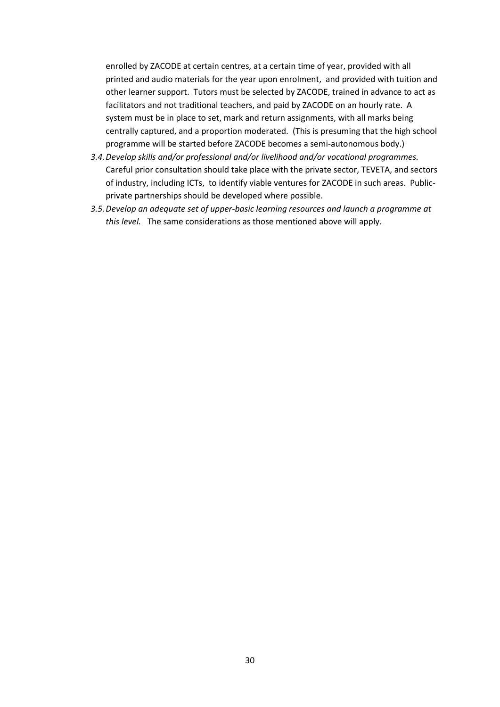enrolled by ZACODE at certain centres, at a certain time of year, provided with all printed and audio materials for the year upon enrolment, and provided with tuition and other learner support. Tutors must be selected by ZACODE, trained in advance to act as facilitators and not traditional teachers, and paid by ZACODE on an hourly rate. A system must be in place to set, mark and return assignments, with all marks being centrally captured, and a proportion moderated. (This is presuming that the high school programme will be started before ZACODE becomes a semi-autonomous body.)

- *3.4.Develop skills and/or professional and/or livelihood and/or vocational programmes.*  Careful prior consultation should take place with the private sector, TEVETA, and sectors of industry, including ICTs, to identify viable ventures for ZACODE in such areas. Publicprivate partnerships should be developed where possible.
- *3.5.Develop an adequate set of upper-basic learning resources and launch a programme at this level.* The same considerations as those mentioned above will apply.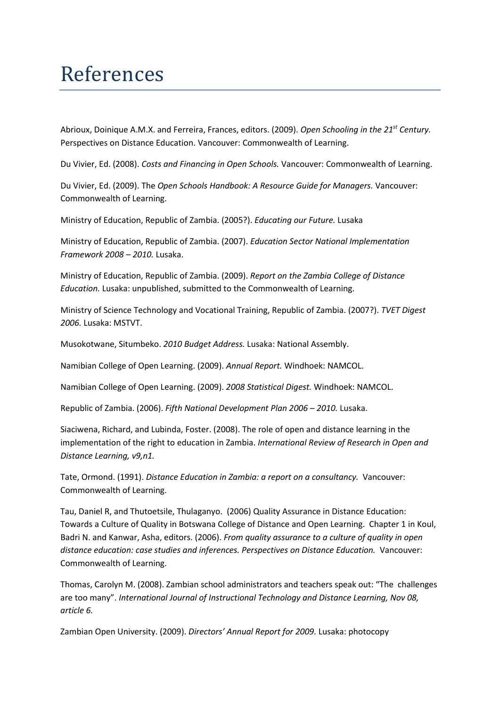### References

Abrioux, Doinique A.M.X. and Ferreira, Frances, editors. (2009). *Open Schooling in the 21st Century.* Perspectives on Distance Education. Vancouver: Commonwealth of Learning.

Du Vivier, Ed. (2008). *Costs and Financing in Open Schools.* Vancouver: Commonwealth of Learning.

Du Vivier, Ed. (2009). The *Open Schools Handbook: A Resource Guide for Managers.* Vancouver: Commonwealth of Learning.

Ministry of Education, Republic of Zambia. (2005?). *Educating our Future.* Lusaka

Ministry of Education, Republic of Zambia. (2007). *Education Sector National Implementation Framework 2008 – 2010.* Lusaka.

Ministry of Education, Republic of Zambia. (2009). *Report on the Zambia College of Distance Education.* Lusaka: unpublished, submitted to the Commonwealth of Learning.

Ministry of Science Technology and Vocational Training, Republic of Zambia. (2007?). *TVET Digest 2006.* Lusaka: MSTVT.

Musokotwane, Situmbeko. *2010 Budget Address.* Lusaka: National Assembly.

Namibian College of Open Learning. (2009). *Annual Report.* Windhoek: NAMCOL.

Namibian College of Open Learning. (2009). *2008 Statistical Digest.* Windhoek: NAMCOL.

Republic of Zambia. (2006). *Fifth National Development Plan 2006 – 2010.* Lusaka.

Siaciwena, Richard, and Lubinda, Foster. (2008). The role of open and distance learning in the implementation of the right to education in Zambia. *International Review of Research in Open and Distance Learning, v9,n1.*

Tate, Ormond. (1991). *Distance Education in Zambia: a report on a consultancy.* Vancouver: Commonwealth of Learning.

Tau, Daniel R, and Thutoetsile, Thulaganyo. (2006) Quality Assurance in Distance Education: Towards a Culture of Quality in Botswana College of Distance and Open Learning. Chapter 1 in Koul, Badri N. and Kanwar, Asha, editors. (2006). *From quality assurance to a culture of quality in open distance education: case studies and inferences. Perspectives on Distance Education.* Vancouver: Commonwealth of Learning.

Thomas, Carolyn M. (2008). Zambian school administrators and teachers speak out: "The challenges are too many". *International Journal of Instructional Technology and Distance Learning, Nov 08, article 6.* 

Zambian Open University. (2009). *Directors' Annual Report for 2009.* Lusaka: photocopy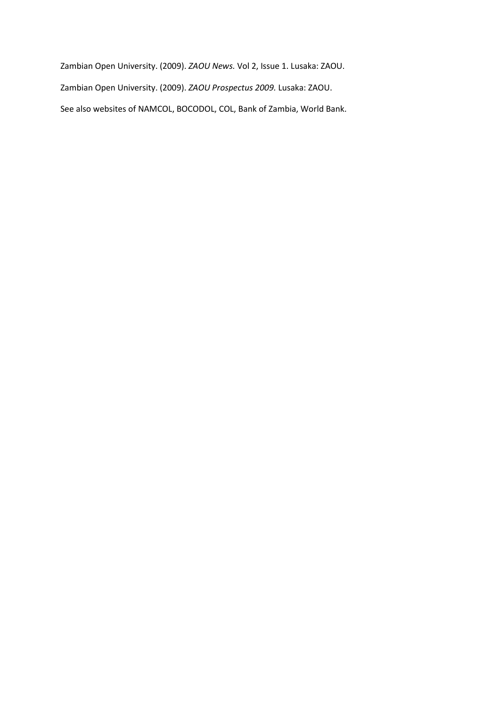Zambian Open University. (2009). *ZAOU News.* Vol 2, Issue 1. Lusaka: ZAOU. Zambian Open University. (2009). *ZAOU Prospectus 2009.* Lusaka: ZAOU. See also websites of NAMCOL, BOCODOL, COL, Bank of Zambia, World Bank.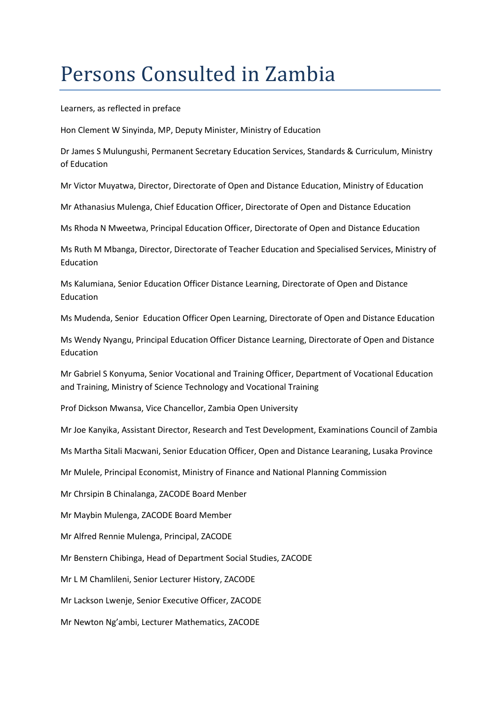### Persons Consulted in Zambia

Learners, as reflected in preface

Hon Clement W Sinyinda, MP, Deputy Minister, Ministry of Education

Dr James S Mulungushi, Permanent Secretary Education Services, Standards & Curriculum, Ministry of Education

Mr Victor Muyatwa, Director, Directorate of Open and Distance Education, Ministry of Education

Mr Athanasius Mulenga, Chief Education Officer, Directorate of Open and Distance Education

Ms Rhoda N Mweetwa, Principal Education Officer, Directorate of Open and Distance Education

Ms Ruth M Mbanga, Director, Directorate of Teacher Education and Specialised Services, Ministry of Education

Ms Kalumiana, Senior Education Officer Distance Learning, Directorate of Open and Distance Education

Ms Mudenda, Senior Education Officer Open Learning, Directorate of Open and Distance Education

Ms Wendy Nyangu, Principal Education Officer Distance Learning, Directorate of Open and Distance Education

Mr Gabriel S Konyuma, Senior Vocational and Training Officer, Department of Vocational Education and Training, Ministry of Science Technology and Vocational Training

Prof Dickson Mwansa, Vice Chancellor, Zambia Open University

Mr Joe Kanyika, Assistant Director, Research and Test Development, Examinations Council of Zambia

Ms Martha Sitali Macwani, Senior Education Officer, Open and Distance Learaning, Lusaka Province

Mr Mulele, Principal Economist, Ministry of Finance and National Planning Commission

Mr Chrsipin B Chinalanga, ZACODE Board Menber

Mr Maybin Mulenga, ZACODE Board Member

Mr Alfred Rennie Mulenga, Principal, ZACODE

Mr Benstern Chibinga, Head of Department Social Studies, ZACODE

Mr L M Chamlileni, Senior Lecturer History, ZACODE

Mr Lackson Lwenje, Senior Executive Officer, ZACODE

Mr Newton Ng'ambi, Lecturer Mathematics, ZACODE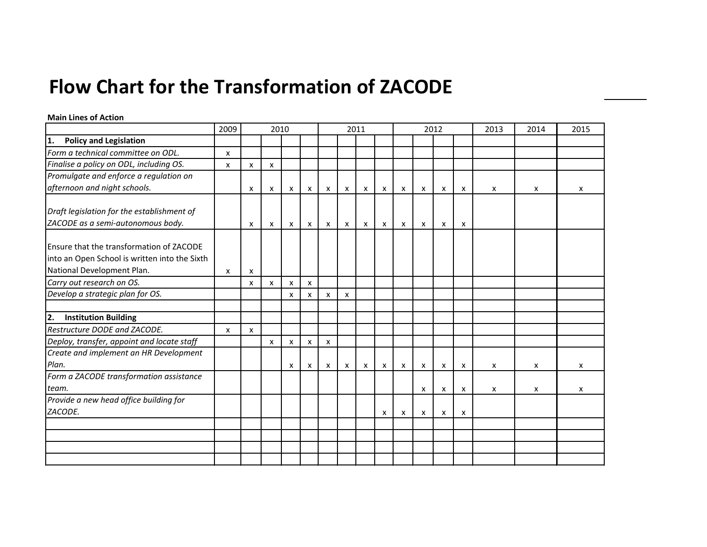### **Flow Chart for the Transformation of ZACODE**

#### **Main Lines of Action**

|                                                                                                                         | 2009 |                           | 2010                      |   |                           |              |                    | 2011                      |                           |                           |                           | 2012                      |   | 2013                      | 2014 | 2015 |
|-------------------------------------------------------------------------------------------------------------------------|------|---------------------------|---------------------------|---|---------------------------|--------------|--------------------|---------------------------|---------------------------|---------------------------|---------------------------|---------------------------|---|---------------------------|------|------|
| <b>Policy and Legislation</b><br>1.                                                                                     |      |                           |                           |   |                           |              |                    |                           |                           |                           |                           |                           |   |                           |      |      |
| Form a technical committee on ODL.                                                                                      | X    |                           |                           |   |                           |              |                    |                           |                           |                           |                           |                           |   |                           |      |      |
| Finalise a policy on ODL, including OS.                                                                                 | X    | x                         | $\boldsymbol{\mathsf{x}}$ |   |                           |              |                    |                           |                           |                           |                           |                           |   |                           |      |      |
| Promulgate and enforce a regulation on                                                                                  |      |                           |                           |   |                           |              |                    |                           |                           |                           |                           |                           |   |                           |      |      |
| afternoon and night schools.                                                                                            |      | x                         | X                         | X | $\pmb{\mathsf{X}}$        | $\mathsf{x}$ | $\pmb{\mathsf{X}}$ | $\boldsymbol{\mathsf{x}}$ | $\pmb{\mathsf{X}}$        | $\boldsymbol{\mathsf{x}}$ | $\boldsymbol{\mathsf{x}}$ | X                         | X | X                         | X    | X    |
| Draft legislation for the establishment of<br>ZACODE as a semi-autonomous body.                                         |      | X                         | $\mathsf{x}$              | x | $\mathsf{X}$              | $\mathsf{x}$ | $\mathsf{x}$       | X                         | $\mathsf{x}$              | $\boldsymbol{\mathsf{x}}$ | $\boldsymbol{\mathsf{x}}$ | x                         | X |                           |      |      |
| Ensure that the transformation of ZACODE<br>into an Open School is written into the Sixth<br>National Development Plan. | X    | X                         |                           |   |                           |              |                    |                           |                           |                           |                           |                           |   |                           |      |      |
| Carry out research on OS.                                                                                               |      | X                         | X                         | x | $\boldsymbol{\mathsf{x}}$ |              |                    |                           |                           |                           |                           |                           |   |                           |      |      |
| Develop a strategic plan for OS.                                                                                        |      |                           |                           | x | X                         | x            | X                  |                           |                           |                           |                           |                           |   |                           |      |      |
|                                                                                                                         |      |                           |                           |   |                           |              |                    |                           |                           |                           |                           |                           |   |                           |      |      |
| 2.<br><b>Institution Building</b>                                                                                       |      |                           |                           |   |                           |              |                    |                           |                           |                           |                           |                           |   |                           |      |      |
| Restructure DODE and ZACODE.                                                                                            | X    | $\boldsymbol{\mathsf{x}}$ |                           |   |                           |              |                    |                           |                           |                           |                           |                           |   |                           |      |      |
| Deploy, transfer, appoint and locate staff                                                                              |      |                           | X                         | x | X                         | x            |                    |                           |                           |                           |                           |                           |   |                           |      |      |
| Create and implement an HR Development                                                                                  |      |                           |                           |   |                           |              |                    |                           |                           |                           |                           |                           |   |                           |      |      |
| Plan.                                                                                                                   |      |                           |                           | x | $\boldsymbol{\mathsf{x}}$ | $\mathsf{x}$ | $\mathsf{x}$       | X                         | $\boldsymbol{\mathsf{x}}$ | x                         | $\boldsymbol{\mathsf{x}}$ | $\boldsymbol{\mathsf{x}}$ | X | X                         | X    | X    |
| Form a ZACODE transformation assistance<br>team.                                                                        |      |                           |                           |   |                           |              |                    |                           |                           |                           | x                         | X                         | X | $\boldsymbol{\mathsf{x}}$ | X    | X    |
| Provide a new head office building for                                                                                  |      |                           |                           |   |                           |              |                    |                           |                           |                           |                           |                           |   |                           |      |      |
| ZACODE.                                                                                                                 |      |                           |                           |   |                           |              |                    |                           | X                         | X                         | X                         | x                         | X |                           |      |      |
|                                                                                                                         |      |                           |                           |   |                           |              |                    |                           |                           |                           |                           |                           |   |                           |      |      |
|                                                                                                                         |      |                           |                           |   |                           |              |                    |                           |                           |                           |                           |                           |   |                           |      |      |
|                                                                                                                         |      |                           |                           |   |                           |              |                    |                           |                           |                           |                           |                           |   |                           |      |      |
|                                                                                                                         |      |                           |                           |   |                           |              |                    |                           |                           |                           |                           |                           |   |                           |      |      |